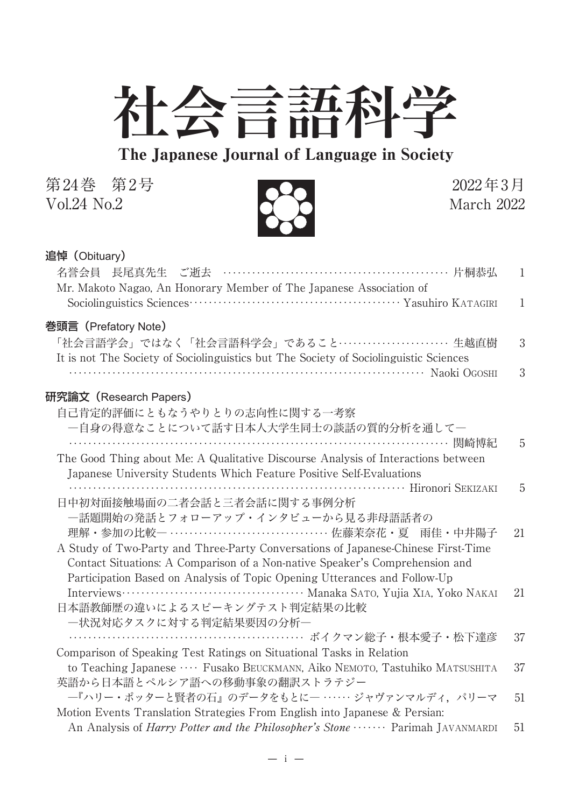

The Japanese Journal of Language in Society

第24巻 第2号<br>Vol.24 No.2 2022年3月 Vol.24  $No.2$ 



## 追悼(Obituary)

| 名誉会員 長尾真先生 ご逝去 …………………………………………… 片桐恭弘<br>Mr. Makoto Nagao, An Honorary Member of The Japanese Association of                                                      | 1            |
|-------------------------------------------------------------------------------------------------------------------------------------------------------------------|--------------|
|                                                                                                                                                                   | $\mathbf{1}$ |
| 巻頭言(Prefatory Note)<br>「社会言語学会」ではなく「社会言語科学会」であること‥‥‥‥‥‥‥‥‥‥‥ 生越直樹                                                                                                 | 3            |
| It is not The Society of Sociolinguistics but The Society of Sociolinguistic Sciences<br>Naoki Ogoshi                                                             | 3            |
| 研究論文(Research Papers)                                                                                                                                             |              |
| 自己肯定的評価にともなうやりとりの志向性に関する一考察                                                                                                                                       |              |
| 一自身の得意なことについて話す日本人大学生同士の談話の質的分析を通して―                                                                                                                              |              |
|                                                                                                                                                                   | 5            |
| The Good Thing about Me: A Qualitative Discourse Analysis of Interactions between<br>Japanese University Students Which Feature Positive Self-Evaluations         |              |
|                                                                                                                                                                   | 5            |
| 日中初対面接触場面の二者会話と三者会話に関する事例分析                                                                                                                                       |              |
| 一話題開始の発話とフォローアップ・インタビューから見る非母語話者の                                                                                                                                 |              |
| 理解・参加の比較― ………………………………… 佐藤茉奈花・夏 雨佳・中井陽子                                                                                                                           | 21           |
| A Study of Two-Party and Three-Party Conversations of Japanese-Chinese First-Time<br>Contact Situations: A Comparison of a Non-native Speaker's Comprehension and |              |
| Participation Based on Analysis of Topic Opening Utterances and Follow-Up                                                                                         |              |
|                                                                                                                                                                   | 21           |
| 日本語教師歴の違いによるスピーキングテスト判定結果の比較                                                                                                                                      |              |
| 一状況対応タスクに対する判定結果要因の分析―                                                                                                                                            |              |
| ……………………………………………… ボイクマン総子・根本愛子・松下達彦<br>Comparison of Speaking Test Ratings on Situational Tasks in Relation                                                      | 37           |
| to Teaching Japanese  Fusako BEUCKMANN, Aiko NEMOTO, Tastuhiko MATSUSHITA                                                                                         | 37           |
| 英語から日本語とペルシア語への移動事象の翻訳ストラテジー                                                                                                                                      |              |
| -- 『ハリー・ポッターと賢者の石』のデータをもとに一 …… ジャヴァンマルディ, パリーマ                                                                                                                    | 51           |
| Motion Events Translation Strategies From English into Japanese & Persian:                                                                                        |              |
| An Analysis of <i>Harry Potter and the Philosopher's Stone</i> Parimah JAVANMARDI                                                                                 | 51           |